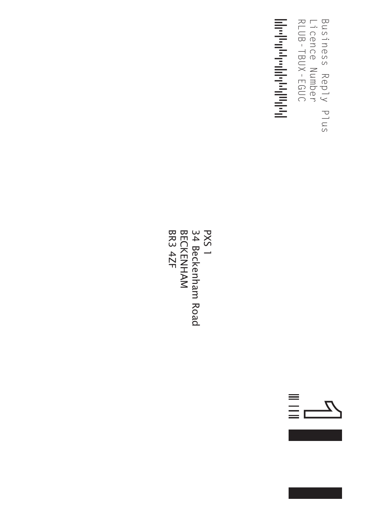$\frac{1}{2}$ Reply Number Reply Licence<br>Licence<br>Licence RLUB-TBUX-EGUC<br>- TBUX-EGUC<br>- TBUX-EGUC Business Plus Licence Number RLUB-TBUX-EGUC

---------≤



≡<br>≣c  $\frac{Z}{Z}$